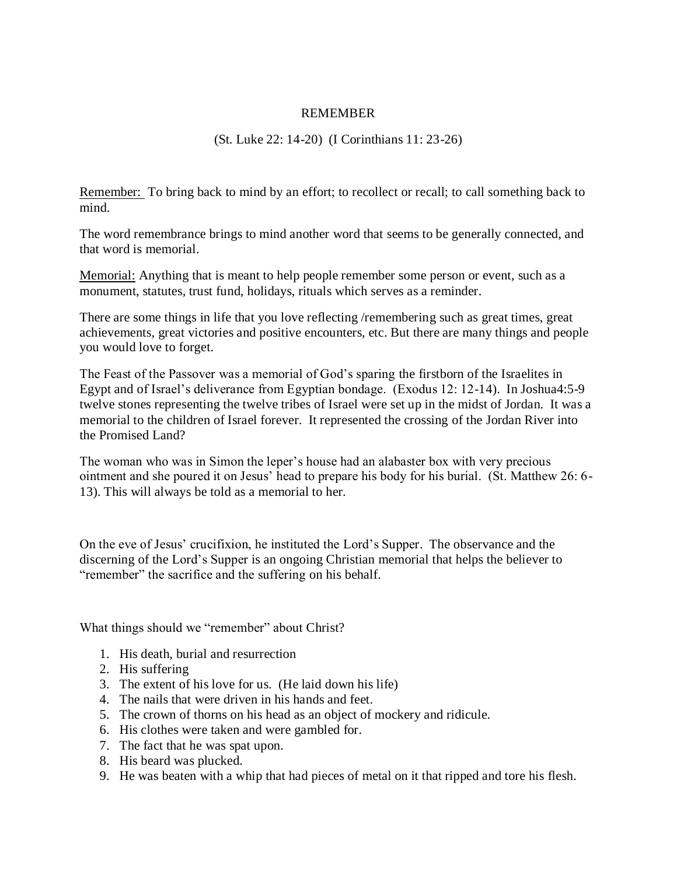## REMEMBER

## (St. Luke 22: 14-20) (I Corinthians 11: 23-26)

Remember: To bring back to mind by an effort; to recollect or recall; to call something back to mind.

The word remembrance brings to mind another word that seems to be generally connected, and that word is memorial.

Memorial: Anything that is meant to help people remember some person or event, such as a monument, statutes, trust fund, holidays, rituals which serves as a reminder.

There are some things in life that you love reflecting /remembering such as great times, great achievements, great victories and positive encounters, etc. But there are many things and people you would love to forget.

The Feast of the Passover was a memorial of God's sparing the firstborn of the Israelites in Egypt and of Israel's deliverance from Egyptian bondage. (Exodus 12: 12-14). In Joshua4:5-9 twelve stones representing the twelve tribes of Israel were set up in the midst of Jordan. It was a memorial to the children of Israel forever. It represented the crossing of the Jordan River into the Promised Land?

The woman who was in Simon the leper's house had an alabaster box with very precious ointment and she poured it on Jesus' head to prepare his body for his burial. (St. Matthew 26: 6- 13). This will always be told as a memorial to her.

On the eve of Jesus' crucifixion, he instituted the Lord's Supper. The observance and the discerning of the Lord's Supper is an ongoing Christian memorial that helps the believer to "remember" the sacrifice and the suffering on his behalf.

What things should we "remember" about Christ?

- 1. His death, burial and resurrection
- 2. His suffering
- 3. The extent of his love for us. (He laid down his life)
- 4. The nails that were driven in his hands and feet.
- 5. The crown of thorns on his head as an object of mockery and ridicule.
- 6. His clothes were taken and were gambled for.
- 7. The fact that he was spat upon.
- 8. His beard was plucked.
- 9. He was beaten with a whip that had pieces of metal on it that ripped and tore his flesh.